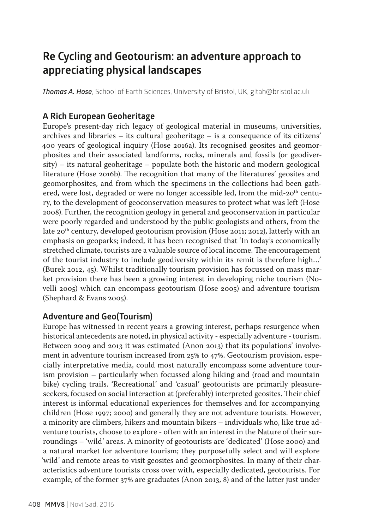# **Re Cycling and Geotourism: an adventure approach to appreciating physical landscapes**

*Thomas A. Hose*, School of Earth Sciences, University of Bristol, UK, gltah@bristol.ac.uk

## **A Rich European Geoheritage**

Europe's present-day rich legacy of geological material in museums, universities, archives and libraries – its cultural geoheritage – is a consequence of its citizens' 400 years of geological inquiry (Hose 2016a). Its recognised geosites and geomorphosites and their associated landforms, rocks, minerals and fossils (or geodiversity) – its natural geoheritage – populate both the historic and modern geological literature (Hose 2016b). The recognition that many of the literatures' geosites and geomorphosites, and from which the specimens in the collections had been gathered, were lost, degraded or were no longer accessible led, from the mid-20<sup>th</sup> century, to the development of geoconservation measures to protect what was left (Hose 2008). Further, the recognition geology in general and geoconservation in particular were poorly regarded and understood by the public geologists and others, from the late 20<sup>th</sup> century, developed geotourism provision (Hose 2011; 2012), latterly with an emphasis on geoparks; indeed, it has been recognised that 'In today's economically stretched climate, tourists are a valuable source of local income. The encouragement of the tourist industry to include geodiversity within its remit is therefore high…' (Burek 2012, 45). Whilst traditionally tourism provision has focussed on mass market provision there has been a growing interest in developing niche tourism (Novelli 2005) which can encompass geotourism (Hose 2005) and adventure tourism (Shephard & Evans 2005).

### **Adventure and Geo(Tourism)**

Europe has witnessed in recent years a growing interest, perhaps resurgence when historical antecedents are noted, in physical activity - especially adventure - tourism. Between 2009 and 2013 it was estimated (Anon 2013) that its populations' involvement in adventure tourism increased from 25% to 47%. Geotourism provision, especially interpretative media, could most naturally encompass some adventure tourism provision – particularly when focussed along hiking and (road and mountain bike) cycling trails. 'Recreational' and 'casual' geotourists are primarily pleasureseekers, focused on social interaction at (preferably) interpreted geosites. Their chief interest is informal educational experiences for themselves and for accompanying children (Hose 1997; 2000) and generally they are not adventure tourists. However, a minority are climbers, hikers and mountain bikers – individuals who, like true adventure tourists, choose to explore - often with an interest in the Nature of their surroundings – 'wild' areas. A minority of geotourists are 'dedicated' (Hose 2000) and a natural market for adventure tourism; they purposefully select and will explore 'wild' and remote areas to visit geosites and geomorphosites. In many of their characteristics adventure tourists cross over with, especially dedicated, geotourists. For example, of the former 37% are graduates (Anon 2013, 8) and of the latter just under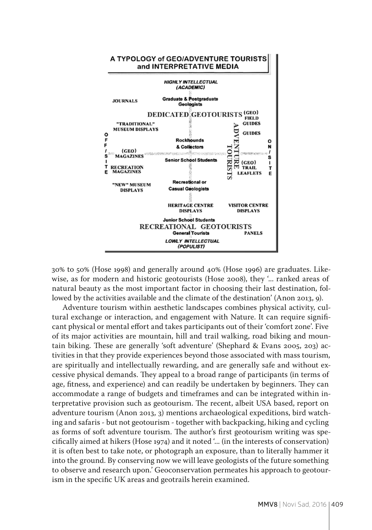

30% to 50% (Hose 1998) and generally around 40% (Hose 1996) are graduates. Likewise, as for modern and historic geotourists (Hose 2008), they '... ranked areas of natural beauty as the most important factor in choosing their last destination, followed by the activities available and the climate of the destination' (Anon 2013, 9).

Adventure tourism within aesthetic landscapes combines physical activity, cultural exchange or interaction, and engagement with Nature. It can require significant physical or mental effort and takes participants out of their 'comfort zone'. Five of its major activities are mountain, hill and trail walking, road biking and mountain biking. These are generally 'soft adventure' (Shephard & Evans 2005, 203) activities in that they provide experiences beyond those associated with mass tourism, are spiritually and intellectually rewarding, and are generally safe and without excessive physical demands. They appeal to a broad range of participants (in terms of age, fitness, and experience) and can readily be undertaken by beginners. They can accommodate a range of budgets and timeframes and can be integrated within interpretative provision such as geotourism. The recent, albeit USA based, report on adventure tourism (Anon 2013, 3) mentions archaeological expeditions, bird watching and safaris - but not geotourism - together with backpacking, hiking and cycling as forms of soft adventure tourism. The author's first geotourism writing was specifically aimed at hikers (Hose 1974) and it noted '... (in the interests of conservation) it is often best to take note, or photograph an exposure, than to literally hammer it into the ground. By conserving now we will leave geologists of the future something to observe and research upon.' Geoconservation permeates his approach to geotourism in the specific UK areas and geotrails herein examined.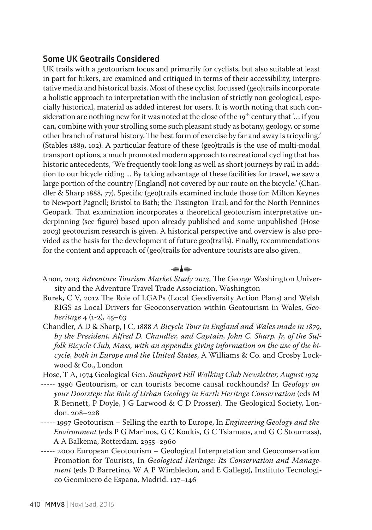#### **Some UK Geotrails Considered**

UK trails with a geotourism focus and primarily for cyclists, but also suitable at least in part for hikers, are examined and critiqued in terms of their accessibility, interpretative media and historical basis. Most of these cyclist focussed (geo)trails incorporate a holistic approach to interpretation with the inclusion of strictly non geological, especially historical, material as added interest for users. It is worth noting that such consideration are nothing new for it was noted at the close of the  $19<sup>th</sup>$  century that '... if you can, combine with your strolling some such pleasant study as botany, geology, or some other branch of natural history. The best form of exercise by far and away is tricycling.' (Stables 1889, 102). A particular feature of these (geo)trails is the use of multi-modal transport options, a much promoted modern approach to recreational cycling that has historic antecedents, 'We frequently took long as well as short journeys by rail in addition to our bicycle riding ... By taking advantage of these facilities for travel, we saw a large portion of the country [England] not covered by our route on the bicycle.' (Chandler & Sharp 1888, 77). Specific (geo)trails examined include those for: Milton Keynes to Newport Pagnell; Bristol to Bath; the Tissington Trail; and for the North Pennines Geopark. That examination incorporates a theoretical geotourism interpretative underpinning (see figure) based upon already published and some unpublished (Hose 2003) geotourism research is given. A historical perspective and overview is also provided as the basis for the development of future geo(trails). Finally, recommendations for the content and approach of (geo)trails for adventure tourists are also given.

#### ذہا د

- Anon, 2013 *Adventure Tourism Market Study 2013*, The George Washington University and the Adventure Travel Trade Association, Washington
- Burek, C V, 2012 The Role of LGAPs (Local Geodiversity Action Plans) and Welsh RIGS as Local Drivers for Geoconservation within Geotourism in Wales, *Geoheritage* 4 (1-2), 45–63
- Chandler, A D & Sharp, J C, 1888 *A Bicycle Tour in England and Wales made in 1879, by the President, Alfred D. Chandler, and Captain, John C. Sharp, Jr, of the Suffolk Bicycle Club, Mass, with an appendix giving information on the use of the bicycle, both in Europe and the United States*, A Williams & Co. and Crosby Lockwood & Co., London
- Hose, T A, 1974 Geological Gen. *Southport Fell Walking Club Newsletter, August 1974*
- ----- 1996 Geotourism, or can tourists become causal rockhounds? In *Geology on your Doorstep: the Role of Urban Geology in Earth Heritage Conservation* (eds M R Bennett, P Doyle, J G Larwood & C D Prosser). The Geological Society, London. 208–228
- ----- 1997 Geotourism Selling the earth to Europe, In *Engineering Geology and the Environment* (eds P G Marinos, G C Koukis, G C Tsiamaos, and G C Stournass), A A Balkema, Rotterdam. 2955–2960
- ----- 2000 European Geotourism Geological Interpretation and Geoconservation Promotion for Tourists, In *Geological Heritage: Its Conservation and Management* (eds D Barretino, W A P Wimbledon, and E Gallego), Instituto Tecnologico Geominero de Espana, Madrid. 127–146